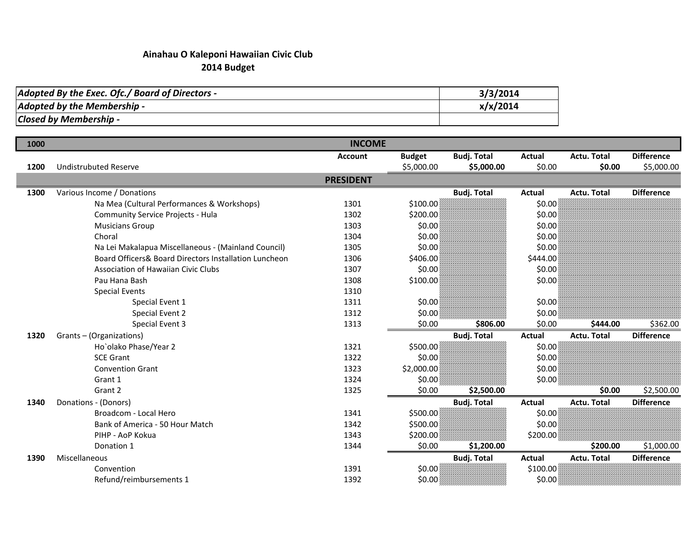## Ainahau O Kaleponi Hawaiian Civic Club2014 Budget

| Adopted By the Exec. Ofc./ Board of Directors - | 3/3/2014 |
|-------------------------------------------------|----------|
| Adopted by the Membership -                     | x/x/2014 |
| Closed by Membership -                          |          |

| 1000 |                                                       | <b>INCOME</b>    |               |                    |               |                    |                   |
|------|-------------------------------------------------------|------------------|---------------|--------------------|---------------|--------------------|-------------------|
|      |                                                       | <b>Account</b>   | <b>Budget</b> | <b>Budj. Total</b> | Actual        | <b>Actu. Total</b> | <b>Difference</b> |
| 1200 | <b>Undistrubuted Reserve</b>                          |                  | \$5,000.00    | \$5,000.00         | \$0.00        | \$0.00             | \$5,000.00        |
|      |                                                       | <b>PRESIDENT</b> |               |                    |               |                    |                   |
| 1300 | Various Income / Donations                            |                  |               | <b>Budj. Total</b> | Actual        | <b>Actu. Total</b> | <b>Difference</b> |
|      | Na Mea (Cultural Performances & Workshops)            | 1301             | \$100.00      |                    | \$0.00        |                    |                   |
|      | <b>Community Service Projects - Hula</b>              | 1302             | \$200.00      |                    | \$0.00        |                    |                   |
|      | <b>Musicians Group</b>                                | 1303             | \$0.00        |                    | \$0.00        |                    |                   |
|      | Choral                                                | 1304             | \$0.00        |                    | \$0.00        |                    |                   |
|      | Na Lei Makalapua Miscellaneous - (Mainland Council)   | 1305             | \$0.00        |                    | \$0.00        |                    |                   |
|      | Board Officers& Board Directors Installation Luncheon | 1306             | \$406.00      |                    | \$444.00      |                    |                   |
|      | <b>Association of Hawaiian Civic Clubs</b>            | 1307             | \$0.00        |                    | \$0.00        |                    |                   |
|      | Pau Hana Bash                                         | 1308             | \$100.00      |                    | \$0.00        |                    |                   |
|      | <b>Special Events</b>                                 | 1310             |               |                    |               |                    |                   |
|      | Special Event 1                                       | 1311             | \$0.00        |                    | \$0.00        |                    |                   |
|      | Special Event 2                                       | 1312             | \$0.00        |                    | \$0.00        |                    |                   |
|      | Special Event 3                                       | 1313             | \$0.00        | \$806.00           | \$0.00        | \$444.00           | \$362.00          |
| 1320 | Grants-(Organizations)                                |                  |               | <b>Budj. Total</b> | <b>Actual</b> | Actu. Total        | <b>Difference</b> |
|      | Ho`olako Phase/Year 2                                 | 1321             | \$500.00      |                    | \$0.00        |                    |                   |
|      | <b>SCE Grant</b>                                      | 1322             | \$0.00        |                    | \$0.00        |                    |                   |
|      | <b>Convention Grant</b>                               | 1323             | \$2,000.00    |                    | \$0.00        |                    |                   |
|      | Grant 1                                               | 1324             | \$0.00\$      |                    | \$0.00        |                    |                   |
|      | Grant 2                                               | 1325             | \$0.00        | \$2,500.00         |               | \$0.00             | \$2,500.00        |
| 1340 | Donations - (Donors)                                  |                  |               | <b>Budj. Total</b> | <b>Actual</b> | Actu. Total        | <b>Difference</b> |
|      | Broadcom - Local Hero                                 | 1341             | \$500.00      |                    | \$0.00        |                    |                   |
|      | Bank of America - 50 Hour Match                       | 1342             | \$500.00      |                    | \$0.00        |                    |                   |
|      | PIHP - AoP Kokua                                      | 1343             | \$200.00      |                    | \$200.00      |                    |                   |
|      | Donation 1                                            | 1344             | \$0.00        | \$1,200.00         |               | \$200.00           | \$1,000.00        |
| 1390 | Miscellaneous                                         |                  |               | <b>Budj. Total</b> | <b>Actual</b> | Actu. Total        | <b>Difference</b> |
|      | Convention                                            | 1391             | \$0.00        |                    | \$100.00      |                    |                   |
|      | Refund/reimbursements 1                               | 1392             | \$0.00        |                    | \$0.00        |                    |                   |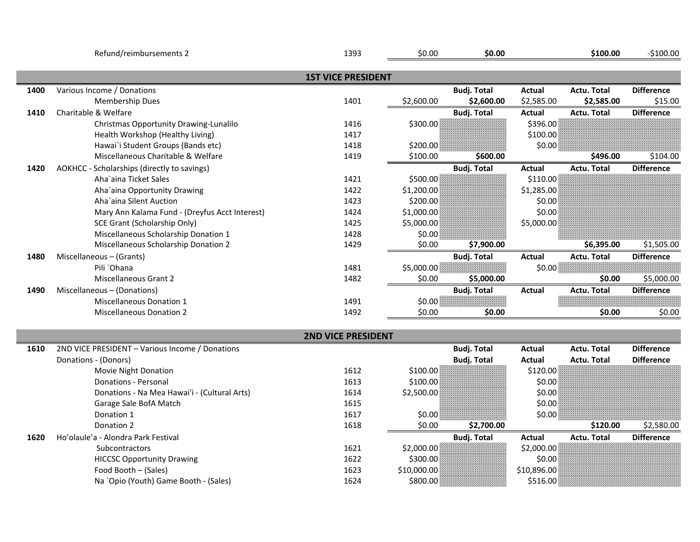|      | Refund/reimbursements 2                         | 1393                      | \$0.00      | \$0.00             |               | \$100.00           | $-$100.00$        |
|------|-------------------------------------------------|---------------------------|-------------|--------------------|---------------|--------------------|-------------------|
|      |                                                 | <b>1ST VICE PRESIDENT</b> |             |                    |               |                    |                   |
| 1400 | Various Income / Donations                      |                           |             | <b>Budj. Total</b> | Actual        | <b>Actu. Total</b> | <b>Difference</b> |
|      | <b>Membership Dues</b>                          | 1401                      | \$2,600.00  | \$2,600.00         | \$2,585.00    | \$2,585.00         | \$15.00           |
| 1410 | Charitable & Welfare                            |                           |             | <b>Budj. Total</b> | <b>Actual</b> | <b>Actu. Total</b> | <b>Difference</b> |
|      | Christmas Opportunity Drawing-Lunalilo          | 1416                      | \$300.00    |                    | \$396.00      |                    |                   |
|      | Health Workshop (Healthy Living)                | 1417                      |             |                    | \$100.00      |                    |                   |
|      | Hawai'i Student Groups (Bands etc)              | 1418                      | \$200.00    |                    | \$0.00        |                    |                   |
|      | Miscellaneous Charitable & Welfare              | 1419                      | \$100.00    | \$600.00           |               | \$496.00           | \$104.00          |
| 1420 | AOKHCC - Scholarships (directly to savings)     |                           |             | <b>Budj. Total</b> | <b>Actual</b> | Actu. Total        | <b>Difference</b> |
|      | Aha'aina Ticket Sales                           | 1421                      | \$500.00    |                    | \$110.00      |                    |                   |
|      | Aha'aina Opportunity Drawing                    | 1422                      | \$1,200.00  |                    | \$1,285.00    |                    |                   |
|      | Aha'aina Silent Auction                         | 1423                      | \$200.00    |                    | \$0.00        |                    |                   |
|      | Mary Ann Kalama Fund - (Dreyfus Acct Interest)  | 1424                      | \$1,000.00  |                    | \$0.00        |                    |                   |
|      | SCE Grant (Scholarship Only)                    | 1425                      | \$5,000.00  |                    | \$5,000.00    |                    |                   |
|      | Miscellaneous Scholarship Donation 1            | 1428                      | \$0.00      |                    |               |                    |                   |
|      | Miscellaneous Scholarship Donation 2            | 1429                      | \$0.00      | \$7,900.00         |               | \$6,395.00         | \$1,505.00        |
| 1480 | Miscellaneous - (Grants)                        |                           |             | <b>Budj. Total</b> | <b>Actual</b> | <b>Actu. Total</b> | <b>Difference</b> |
|      | Pili `Ohana                                     | 1481                      | \$5,000.00  |                    | \$0.00        |                    |                   |
|      | Miscellaneous Grant 2                           | 1482                      | \$0.00      | \$5,000.00         |               | \$0.00             | \$5,000.00        |
| 1490 | Miscellaneous - (Donations)                     |                           |             | <b>Budj. Total</b> | Actual        | <b>Actu. Total</b> | <b>Difference</b> |
|      | <b>Miscellaneous Donation 1</b>                 | 1491                      | \$0.00      |                    |               |                    |                   |
|      | <b>Miscellaneous Donation 2</b>                 | 1492                      | \$0.00      | \$0.00             |               | \$0.00             | \$0.00            |
|      |                                                 | <b>2ND VICE PRESIDENT</b> |             |                    |               |                    |                   |
| 1610 | 2ND VICE PRESIDENT - Various Income / Donations |                           |             | <b>Budj. Total</b> | Actual        | Actu. Total        | <b>Difference</b> |
|      | Donations - (Donors)                            |                           |             | <b>Budj. Total</b> | <b>Actual</b> | <b>Actu. Total</b> | <b>Difference</b> |
|      | Movie Night Donation                            | 1612                      | \$100.00    |                    | \$120.00      |                    |                   |
|      | <b>Donations - Personal</b>                     | 1613                      | \$100.00    |                    | \$0.00        |                    |                   |
|      | Donations - Na Mea Hawai'i - (Cultural Arts)    | 1614                      | \$2,500.00  |                    | \$0.00        |                    |                   |
|      | Garage Sale BofA Match                          | 1615                      |             |                    | \$0.00        |                    |                   |
|      | Donation 1                                      | 1617                      | \$0.00      |                    | \$0.00        |                    |                   |
|      | Donation 2                                      | 1618                      | \$0.00      | \$2,700.00         |               | \$120.00           | \$2,580.00        |
| 1620 | Ho'olaule'a - Alondra Park Festival             |                           |             | <b>Budj. Total</b> | <b>Actual</b> | <b>Actu. Total</b> | <b>Difference</b> |
|      | Subcontractors                                  | 1621                      | \$2,000.00  |                    | \$2,000.00]   |                    |                   |
|      | <b>HICCSC Opportunity Drawing</b>               | 1622                      | \$300.00    |                    | \$0.00        |                    |                   |
|      | Food Booth - (Sales)                            | 1623                      | \$10,000.00 |                    | \$10,896.00   |                    |                   |
|      | Na `Opio (Youth) Game Booth - (Sales)           | 1624                      | \$800.00    |                    | \$516.00      |                    |                   |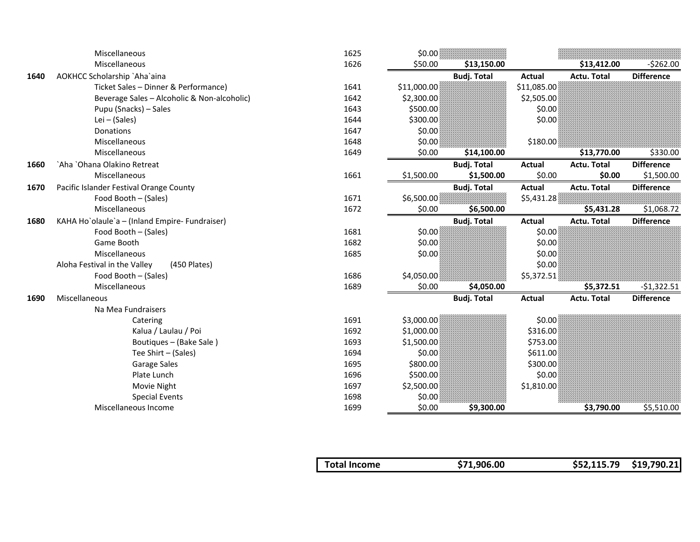|      | Miscellaneous                                  | 1625 | \$0.00      |                    |               |                    |                   |
|------|------------------------------------------------|------|-------------|--------------------|---------------|--------------------|-------------------|
|      | Miscellaneous                                  | 1626 | \$50.00     | \$13,150.00        |               | \$13,412.00        | $-5262.00$        |
| 1640 | AOKHCC Scholarship `Aha`aina                   |      |             | <b>Budj. Total</b> | <b>Actual</b> | <b>Actu. Total</b> | <b>Difference</b> |
|      | Ticket Sales - Dinner & Performance)           | 1641 | \$11,000.00 |                    | \$11,085.00   |                    |                   |
|      | Beverage Sales - Alcoholic & Non-alcoholic)    | 1642 | \$2,300.00  |                    | \$2,505.00    |                    |                   |
|      | Pupu (Snacks) - Sales                          | 1643 | \$500.00    |                    | \$0.00        |                    |                   |
|      | Lei $-$ (Sales)                                | 1644 | \$300.00    |                    | \$0.00        |                    |                   |
|      | <b>Donations</b>                               | 1647 | \$0.00      |                    |               |                    |                   |
|      | Miscellaneous                                  | 1648 | \$0.00      |                    | \$180.00      |                    |                   |
|      | Miscellaneous                                  | 1649 | \$0.00      | \$14,100.00        |               | \$13,770.00        | \$330.00          |
| 1660 | `Aha `Ohana Olakino Retreat                    |      |             | <b>Budj. Total</b> | Actual        | Actu. Total        | <b>Difference</b> |
|      | Miscellaneous                                  | 1661 | \$1,500.00  | \$1,500.00         | \$0.00        | \$0.00             | \$1,500.00        |
| 1670 | Pacific Islander Festival Orange County        |      |             | <b>Budj. Total</b> | <b>Actual</b> | Actu. Total        | <b>Difference</b> |
|      | Food Booth - (Sales)                           | 1671 | \$6,500.00  |                    | \$5,431.28\$  |                    |                   |
|      | Miscellaneous                                  | 1672 | \$0.00      | \$6,500.00         |               | \$5,431.28         | \$1,068.72        |
| 1680 | KAHA Ho`olaule`a - (Inland Empire- Fundraiser) |      |             | <b>Budj. Total</b> | Actual        | <b>Actu. Total</b> | <b>Difference</b> |
|      | Food Booth - (Sales)                           | 1681 | \$0.00      |                    | \$0.00        |                    |                   |
|      | Game Booth                                     | 1682 | \$0.00      |                    | \$0.00        |                    |                   |
|      | Miscellaneous                                  | 1685 | \$0.00      |                    | \$0.00        |                    |                   |
|      | Aloha Festival in the Valley<br>(450 Plates)   |      |             |                    | \$0.00        |                    |                   |
|      | Food Booth - (Sales)                           | 1686 | \$4,050.00  |                    | \$5,372.51    |                    |                   |
|      | Miscellaneous                                  | 1689 | \$0.00      | \$4,050.00         |               | \$5,372.51         | $-$1,322.51$      |
| 1690 | Miscellaneous                                  |      |             | <b>Budj. Total</b> | <b>Actual</b> | Actu. Total        | <b>Difference</b> |
|      | Na Mea Fundraisers                             |      |             |                    |               |                    |                   |
|      | Catering                                       | 1691 | \$3,000.00  |                    | \$0.00        |                    |                   |
|      | Kalua / Laulau / Poi                           | 1692 | \$1,000.00  |                    | \$316.00      |                    |                   |
|      | Boutiques - (Bake Sale)                        | 1693 | \$1,500.00  |                    | \$753.00      |                    |                   |
|      | Tee Shirt - (Sales)                            | 1694 | \$0.00      |                    | \$611.00      |                    |                   |
|      | Garage Sales                                   | 1695 | \$800.00    |                    | \$300.00      |                    |                   |
|      | Plate Lunch                                    | 1696 | \$500.00    |                    | \$0.00        |                    |                   |
|      | Movie Night                                    | 1697 | \$2,500.00  |                    | \$1,810.00    |                    |                   |
|      | <b>Special Events</b>                          | 1698 | \$0.00      |                    |               |                    |                   |
|      | Miscellaneous Income                           | 1699 | \$0.00      | \$9,300.00         |               | \$3,790.00         | \$5,510.00        |

|  | Total Income | \$71,906.00 | $$52,115.79$ $$19,790.21$ |  |
|--|--------------|-------------|---------------------------|--|
|--|--------------|-------------|---------------------------|--|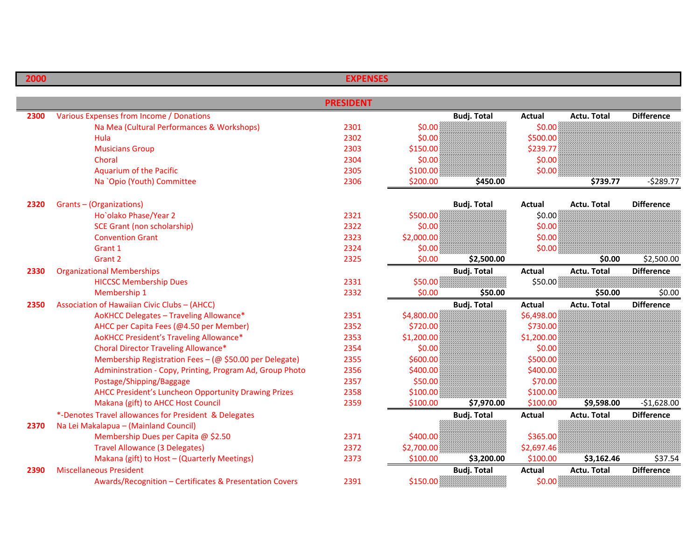| 2000 |                                                           | <b>EXPENSES</b>  |            |                    |               |                    |                   |
|------|-----------------------------------------------------------|------------------|------------|--------------------|---------------|--------------------|-------------------|
|      |                                                           |                  |            |                    |               |                    |                   |
|      |                                                           | <b>PRESIDENT</b> |            |                    |               |                    |                   |
| 2300 | Various Expenses from Income / Donations                  |                  |            | <b>Budj. Total</b> | <b>Actual</b> | <b>Actu. Total</b> | <b>Difference</b> |
|      | Na Mea (Cultural Performances & Workshops)                | 2301             | \$0.00     |                    | \$0.00\$      |                    |                   |
|      | Hula                                                      | 2302             | \$0.00     |                    | \$500.00      |                    |                   |
|      | <b>Musicians Group</b>                                    | 2303             | \$150.00   |                    | \$239.77      |                    |                   |
|      | Choral                                                    | 2304             | \$0.00     |                    | \$0.00        |                    |                   |
|      | <b>Aquarium of the Pacific</b>                            | 2305             | \$100.00   |                    | \$0.00\$      |                    |                   |
|      | Na `Opio (Youth) Committee                                | 2306             | \$200.00   | \$450.00           |               | \$739.77           | $-5289.77$        |
| 2320 | Grants-(Organizations)                                    |                  |            | <b>Budj. Total</b> | Actual        | <b>Actu. Total</b> | <b>Difference</b> |
|      | Ho'olako Phase/Year 2                                     | 2321             | \$500.00   |                    | \$0.00        |                    |                   |
|      | <b>SCE Grant (non scholarship)</b>                        | 2322             | \$0.00     |                    | \$0.00\$      |                    |                   |
|      | <b>Convention Grant</b>                                   | 2323             | \$2,000.00 |                    | \$0.00\$      |                    |                   |
|      | Grant 1                                                   | 2324             | \$0.00     |                    | \$0.00        |                    |                   |
|      | Grant 2                                                   | 2325             | \$0.00     | \$2,500.00         |               | \$0.00             | \$2,500.00        |
| 2330 | <b>Organizational Memberships</b>                         |                  |            | <b>Budj. Total</b> | <b>Actual</b> | <b>Actu. Total</b> | <b>Difference</b> |
|      | <b>HICCSC Membership Dues</b>                             | 2331             | \$50.00    |                    | \$50.00       |                    |                   |
|      | Membership 1                                              | 2332             | \$0.00     | \$50.00            |               | \$50.00            | \$0.00            |
| 2350 | Association of Hawaiian Civic Clubs - (AHCC)              |                  |            | <b>Budj. Total</b> | <b>Actual</b> | <b>Actu. Total</b> | <b>Difference</b> |
|      | AoKHCC Delegates - Traveling Allowance*                   | 2351             | \$4,800.00 |                    | \$6,498.00    |                    |                   |
|      | AHCC per Capita Fees (@4.50 per Member)                   | 2352             | \$720.00   |                    | \$730.00      |                    |                   |
|      | AoKHCC President's Traveling Allowance*                   | 2353             | \$1,200.00 |                    | \$1,200.00    |                    |                   |
|      | <b>Choral Director Traveling Allowance*</b>               | 2354             | \$0.00     |                    | \$0.00        |                    |                   |
|      | Membership Registration Fees - (@ \$50.00 per Delegate)   | 2355             | \$600.00   |                    | \$500.00      |                    |                   |
|      | Admininstration - Copy, Printing, Program Ad, Group Photo | 2356             | \$400.00   |                    | \$400.00      |                    |                   |
|      | Postage/Shipping/Baggage                                  | 2357             | \$50.00    |                    | \$70.00       |                    |                   |
|      | AHCC President's Luncheon Opportunity Drawing Prizes      | 2358             | \$100.00   |                    | \$100.00      |                    |                   |
|      | Makana (gift) to AHCC Host Council                        | 2359             | \$100.00   | \$7,970.00         | \$100.00      | \$9,598.00         | $-$1,628.00$      |
|      | *-Denotes Travel allowances for President & Delegates     |                  |            | <b>Budj. Total</b> | <b>Actual</b> | Actu. Total        | <b>Difference</b> |
| 2370 | Na Lei Makalapua - (Mainland Council)                     |                  |            |                    |               |                    |                   |
|      | Membership Dues per Capita @ \$2.50                       | 2371             | \$400.00   |                    | \$365.00      |                    |                   |
|      | <b>Travel Allowance (3 Delegates)</b>                     | 2372             | \$2,700.00 |                    | \$2,697.46    |                    |                   |
|      | Makana (gift) to Host - (Quarterly Meetings)              | 2373             | \$100.00   | \$3,200.00         | \$100.00      | \$3,162.46         | \$37.54           |
| 2390 | <b>Miscellaneous President</b>                            |                  |            | <b>Budj. Total</b> | <b>Actual</b> | <b>Actu. Total</b> | <b>Difference</b> |
|      | Awards/Recognition - Certificates & Presentation Covers   | 2391             | \$150.00   |                    | \$0.00        |                    |                   |

D

L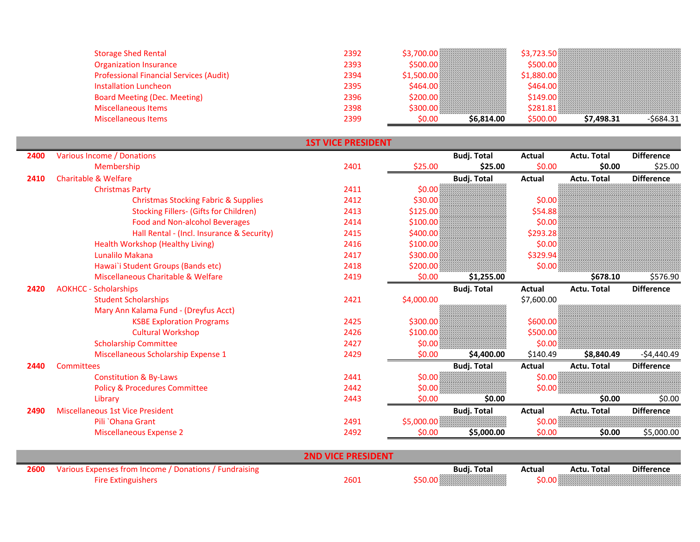| <b>Storage Shed Rental</b>                     | 2392 |                     |          |                         |
|------------------------------------------------|------|---------------------|----------|-------------------------|
| <b>Organization Insurance</b>                  | 2393 |                     |          |                         |
| <b>Professional Financial Services (Audit)</b> | 2394 |                     |          |                         |
| <b>Installation Luncheon</b>                   | 2395 |                     |          |                         |
| <b>Board Meeting (Dec. Meeting)</b>            | 2396 |                     |          |                         |
| <b>Miscellaneous Items</b>                     | 2398 |                     |          |                         |
| Miscellaneous Items                            | 2399 | \$6,814.00<br>50.OO | \$500.00 | \$7,498.31<br>-\$684.31 |

|      |                                                 | <b>1ST VICE PRESIDENT</b> |            |                    |               |                    |                   |
|------|-------------------------------------------------|---------------------------|------------|--------------------|---------------|--------------------|-------------------|
| 2400 | Various Income / Donations                      |                           |            | <b>Budj. Total</b> | <b>Actual</b> | Actu. Total        | <b>Difference</b> |
|      | Membership                                      | 2401                      | \$25.00    | \$25.00            | \$0.00        | \$0.00             | \$25.00           |
| 2410 | <b>Charitable &amp; Welfare</b>                 |                           |            | <b>Budj. Total</b> | <b>Actual</b> | Actu. Total        | <b>Difference</b> |
|      | <b>Christmas Party</b>                          | 2411                      | \$0.00     |                    |               |                    |                   |
|      | <b>Christmas Stocking Fabric &amp; Supplies</b> | 2412                      | \$30.00\$  |                    | \$0.00        |                    |                   |
|      | <b>Stocking Fillers- (Gifts for Children)</b>   | 2413                      | \$125.00   |                    | \$54.88       |                    |                   |
|      | <b>Food and Non-alcohol Beverages</b>           | 2414                      | \$100.00   |                    | \$0.00        |                    |                   |
|      | Hall Rental - (Incl. Insurance & Security)      | 2415                      | \$400.00   |                    | \$293.28      |                    |                   |
|      | Health Workshop (Healthy Living)                | 2416                      | \$100.00   |                    | \$0.00        |                    |                   |
|      | Lunalilo Makana                                 | 2417                      | \$300.00   |                    | \$329.94      |                    |                   |
|      | Hawai'i Student Groups (Bands etc)              | 2418                      | \$200.00   |                    | \$0.00        |                    |                   |
|      | Miscellaneous Charitable & Welfare              | 2419                      | \$0.00     | \$1,255.00         |               | \$678.10           | \$576.90          |
| 2420 | <b>AOKHCC - Scholarships</b>                    |                           |            | <b>Budj. Total</b> | <b>Actual</b> | <b>Actu. Total</b> | <b>Difference</b> |
|      | <b>Student Scholarships</b>                     | 2421                      | \$4,000.00 |                    | \$7,600.00    |                    |                   |
|      | Mary Ann Kalama Fund - (Dreyfus Acct)           |                           |            |                    |               |                    |                   |
|      | <b>KSBE Exploration Programs</b>                | 2425                      | \$300.00   |                    | \$600.00      |                    |                   |
|      | <b>Cultural Workshop</b>                        | 2426                      | \$100.00   |                    | \$500.00      |                    |                   |
|      | <b>Scholarship Committee</b>                    | 2427                      | \$0.00     |                    | \$0.00        |                    |                   |
|      | Miscellaneous Scholarship Expense 1             | 2429                      | \$0.00     | \$4,400.00         | \$140.49      | \$8,840.49         | $-54,440.49$      |
| 2440 | Committees                                      |                           |            | <b>Budj. Total</b> | Actual        | Actu. Total        | <b>Difference</b> |
|      | <b>Constitution &amp; By-Laws</b>               | 2441                      | \$0.00%    |                    | \$0.00        |                    |                   |
|      | <b>Policy &amp; Procedures Committee</b>        | 2442                      | \$0.00     |                    | \$0.00\$      |                    |                   |
|      | Library                                         | 2443                      | \$0.00     | \$0.00             |               | \$0.00             | \$0.00            |
| 2490 | <b>Miscellaneous 1st Vice President</b>         |                           |            | <b>Budj. Total</b> | <b>Actual</b> | Actu. Total        | <b>Difference</b> |
|      | Pili `Ohana Grant                               | 2491                      | \$5,000.00 |                    | \$0.00        |                    |                   |
|      | <b>Miscellaneous Expense 2</b>                  | 2492                      | \$0.00     | \$5,000.00         | \$0.00        | \$0.00             | \$5,000.00        |
|      |                                                 |                           |            |                    |               |                    |                   |

| 2600 | Fundraising<br>Various Expenses from Income<br>Donations |      | <b>Budj. Total</b> | Actua | <b>Actu. Total</b> | <b>Difference</b> |
|------|----------------------------------------------------------|------|--------------------|-------|--------------------|-------------------|
|      | <b>Extinguishers</b>                                     | 2601 | MANAMAN MANAMAN (  |       |                    |                   |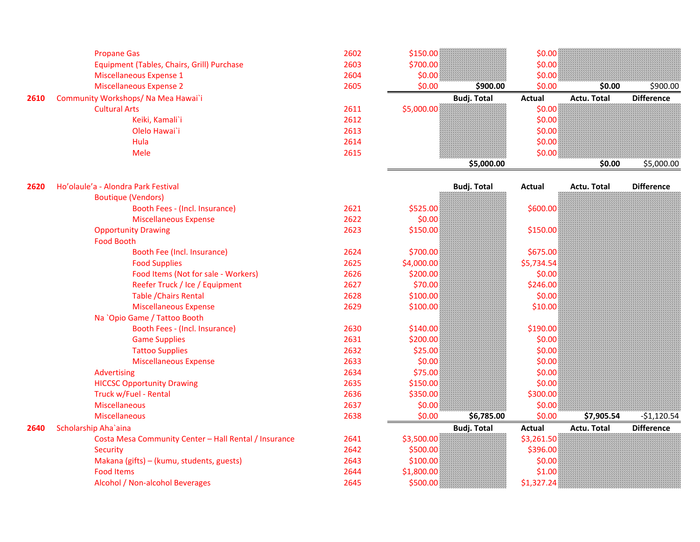|      | <b>Propane Gas</b>                                          | 2602 | \$150.00           | \$0.00             |                    |                   |
|------|-------------------------------------------------------------|------|--------------------|--------------------|--------------------|-------------------|
|      | Equipment (Tables, Chairs, Grill) Purchase                  | 2603 | \$700.00           | \$0.00\$           |                    |                   |
|      | Miscellaneous Expense 1                                     | 2604 | \$0.00\$           | \$0.00             |                    |                   |
|      | <b>Miscellaneous Expense 2</b>                              | 2605 | \$0.00             | \$0.00<br>\$900.00 | \$0.00             | \$900.00          |
| 2610 | Community Workshops/ Na Mea Hawai`i                         |      | <b>Budj. Total</b> | <b>Actual</b>      | Actu. Total        | <b>Difference</b> |
|      | <b>Cultural Arts</b>                                        | 2611 | \$5,000.00         | \$0.00             |                    |                   |
|      | Keiki, Kamali`i                                             | 2612 |                    | \$0.00\$           |                    |                   |
|      | Olelo Hawai`i                                               | 2613 |                    | \$0.00             |                    |                   |
|      | Hula                                                        | 2614 |                    | \$0.00             |                    |                   |
|      | Mele                                                        | 2615 |                    | \$0.00\$           |                    |                   |
|      |                                                             |      |                    | \$5,000.00         | \$0.00             | \$5,000.00        |
|      |                                                             |      |                    |                    |                    |                   |
| 2620 | Ho'olaule'a - Alondra Park Festival                         |      |                    |                    | <b>Actu. Total</b> |                   |
|      |                                                             |      | <b>Budj. Total</b> | Actual             |                    | <b>Difference</b> |
|      | <b>Boutique (Vendors)</b><br>Booth Fees - (Incl. Insurance) | 2621 | \$525.00           | \$600.00           |                    |                   |
|      | <b>Miscellaneous Expense</b>                                | 2622 | \$0.00             |                    |                    |                   |
|      | <b>Opportunity Drawing</b>                                  | 2623 | \$150.00           | \$150.00           |                    |                   |
|      | <b>Food Booth</b>                                           |      |                    |                    |                    |                   |
|      | Booth Fee (Incl. Insurance)                                 | 2624 | \$700.00           | \$675.00           |                    |                   |
|      | <b>Food Supplies</b>                                        | 2625 | \$4,000.00         | \$5,734.54         |                    |                   |
|      | Food Items (Not for sale - Workers)                         | 2626 | \$200.00]          | \$0.00             |                    |                   |
|      | Reefer Truck / Ice / Equipment                              | 2627 | \$70.00\$          | \$246.00\$         |                    |                   |

<sup>2630</sup>

Scholarship Aha`aina Budj. Total Actual Actu. Total Difference

2641<br>2642

<sup>2643</sup>

2644 \$1,800.00<br>2645 \$500.00

\$100.00 \$100.00 \$100.00 \$100.00 \$100.00 \$100.00 \$100.00 \$10.00 \$10.00 \$10.00 \$10.00 \$10.00 \$10.00 \$

\$140.00 \$140.00 \$140.00 \$190.00 \$190.00 \$140.00 \$1<br>| \$200.00 \$200.00 \$200 \$0.00 \$0.00 \$0.00 \$0.00 \$0.00 \$0.00 \$0.00 \$0.00 \$0.00 \$0.00 \$0.00 \$0.00 \$1 \$0.00 \$1 \$1

\$200.00 \$200.00 \$200.00 \$200.00 \$1 \$0.00 \$1 \$0.00 \$25.00 \$25.00 \$25.00 \$1 \$0.00 \$1 \$0.00 \$1 \$0.00 \$

\$150.00 \$0.00

\$350.00 \$350.00 \$350.00 \$350.00 \$350.00 \$350.00 \$361 \$50.00 \$10.00 \$10.00 \$10.00 \$10.00 \$10.00 \$10.00 \$10.00 \$<br>| \$0.00 \$0.00 \$0.00 \$0.00 \$0.00 \$10.00 \$10.00 \$10.00 \$10.00 \$10.00 \$10.00 \$10.00 \$10.00 \$10.00 \$10.00 \$10.00 \$

\$100.00 \$100.00 \$0.00 \$0.00 \$1,800.00 \$1,800.00 \$1,800 \$1,00 \$1,00 \$1,00 \$1,00 \$1,00 \$1,00 \$1,00 \$1,00 \$1,00 \$

\$25.00 \$*25.00 \$1,000 \$45.00 \$45.00 \$* 

\$0.00 \$0.00

\$75.00 \$0.00

**\$0.00 \$10.00 \$10.00 \$10.00 \$10.00 \$10.00 \$10.00 \$10.00 \$10.00 \$10.00 \$10.00 \$10.00 \$10.00 \$10.00 \$10.00 \$10.00** 

\$3,500.00 \$3,261.50 \$3,261.50 \$4,500.00 \$3,500.00 \$4,500 \$4,500 \$4,500 \$4,500 \$4,500 \$4,500 \$4,500 \$

\$500.00 \$396.00

\$0.00 \$6,785.00 \$0.00 \$7,905.54 -\$1,120.54

 $$1,327.24$ 

 $$100.00$ 

2628

 $\sim$  2631

 $\sim$  2632

**g** 2635

2636

 $\overline{\mathbf{g}}$  and  $\overline{\mathbf{g}}$  and  $\overline{\mathbf{g}}$  and  $\overline{\mathbf{g}}$  and  $\overline{\mathbf{g}}$  and  $\overline{\mathbf{g}}$  and  $\overline{\mathbf{g}}$  and  $\overline{\mathbf{g}}$  and  $\overline{\mathbf{g}}$  and  $\overline{\mathbf{g}}$  and  $\overline{\mathbf{g}}$  and  $\overline{\mathbf{g}}$  and  $\overline{\mathbf{g}}$  and  $\overline{\mathbf{g}}$  a

 $\sim$  2637

 $\sim$  2638

 $\sim$  2644

e 2629

e 2633

 $\sim$  2645

Table /Chairs Rental

Na `Opio Game / Tattoo Booth

HICCSC Opportunity Drawing

Truck w/Fuel - Rental

Advertising

Miscellaneous

Miscellaneous

Security

Food Items

2640

Game Supplies

Tattoo Supplies

Miscellaneous Expense

Miscellaneous Expense

Makana (gifts) – (kumu, students, guests)

Alcohol / Non-alcohol Beverages

Booth Fees - (Incl. Insurance)

Costa Mesa Community Center – Hall Rental / Insurance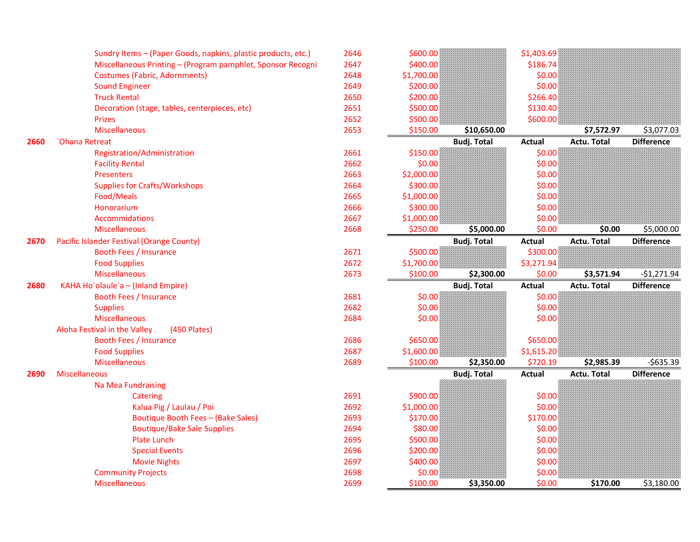|      | Sundry Items - (Paper Goods, napkins, plastic products, etc.) | 2646 | \$600.00   |                    | \$1,403.69    |                    |                   |
|------|---------------------------------------------------------------|------|------------|--------------------|---------------|--------------------|-------------------|
|      | Miscellaneous Printing - (Program pamphlet, Sponsor Recogni   | 2647 | \$400.00   |                    | \$186.74      |                    |                   |
|      | <b>Costumes (Fabric, Adornments)</b>                          | 2648 | \$1,700.00 |                    | \$0.00        |                    |                   |
|      | <b>Sound Engineer</b>                                         | 2649 | \$200.00   |                    | \$0.00        |                    |                   |
|      | <b>Truck Rental</b>                                           | 2650 | \$200.00   |                    | \$266.40      |                    |                   |
|      | Decoration (stage, tables, centerpieces, etc)                 | 2651 | \$500.00   |                    | \$130.40      |                    |                   |
|      | <b>Prizes</b>                                                 | 2652 | \$500.00   |                    | \$600.00      |                    |                   |
|      | <b>Miscellaneous</b>                                          | 2653 | \$150.00   | \$10,650.00        |               | \$7,572.97         | \$3,077.03        |
| 2660 | <b>Chana Retreat</b>                                          |      |            | <b>Budj. Total</b> | <b>Actual</b> | <b>Actu. Total</b> | <b>Difference</b> |
|      | Registration/Administration                                   | 2661 | \$150.00   |                    | \$0.00        |                    |                   |
|      | <b>Facility Rental</b>                                        | 2662 | \$0.00     |                    | \$0.00        |                    |                   |
|      | Presenters                                                    | 2663 | \$2,000.00 |                    | \$0.00        |                    |                   |
|      | <b>Supplies for Crafts/Workshops</b>                          | 2664 | \$300.00   |                    | \$0.00        |                    |                   |
|      | Food/Meals                                                    | 2665 | \$1,000.00 |                    | \$0.00        |                    |                   |
|      | Honorarium                                                    | 2666 | \$300.00   |                    | \$0.00        |                    |                   |
|      | Accommidations                                                | 2667 | \$1,000.00 |                    | \$0.00        |                    |                   |
|      | <b>Miscellaneous</b>                                          | 2668 | \$250.00   | \$5,000.00         | \$0.00        | \$0.00             | \$5,000.00        |
| 2670 | Pacific Islander Festival (Orange County)                     |      |            | <b>Budj. Total</b> | <b>Actual</b> | <b>Actu. Total</b> | <b>Difference</b> |
|      | <b>Booth Fees / Insurance</b>                                 | 2671 | \$500.00   |                    | \$300.00      |                    |                   |
|      | <b>Food Supplies</b>                                          | 2672 | \$1,700.00 |                    | \$3,271.94\$  |                    |                   |
|      | <b>Miscellaneous</b>                                          | 2673 | \$100.00   | \$2,300.00         | \$0.00        | \$3,571.94         | $-$1,271.94$      |
| 2680 | KAHA Ho`olaule`a - (Inland Empire)                            |      |            | <b>Budj. Total</b> | <b>Actual</b> | <b>Actu. Total</b> | <b>Difference</b> |
|      | <b>Booth Fees / Insurance</b>                                 | 2681 | \$0.00     |                    | \$0.00        |                    |                   |
|      | <b>Supplies</b>                                               | 2682 | \$0.00     |                    | \$0.00        |                    |                   |
|      | <b>Miscellaneous</b>                                          | 2684 | \$0.00     |                    | \$0.00        |                    |                   |
|      | Aloha Festival in the Valley<br>(450 Plates)                  |      |            |                    |               |                    |                   |
|      | <b>Booth Fees / Insurance</b>                                 | 2686 | \$650.00   |                    | \$650.00      |                    |                   |
|      | <b>Food Supplies</b>                                          | 2687 | \$1,600.00 |                    | \$1,615.20    |                    |                   |
|      | Miscellaneous                                                 | 2689 | \$100.00   | \$2,350.00         | \$720.19      | \$2,985.39         | $-5635.39$        |
| 2690 | <b>Miscellaneous</b>                                          |      |            | <b>Budj. Total</b> | <b>Actual</b> | <b>Actu. Total</b> | <b>Difference</b> |
|      | Na Mea Fundraising                                            |      |            |                    |               |                    |                   |
|      | Catering                                                      | 2691 | \$900.00   |                    | \$0.00        |                    |                   |
|      | Kalua Pig / Laulau / Poi                                      | 2692 | \$1,000.00 |                    | \$0.00        |                    |                   |
|      | Boutique Booth Fees - (Bake Sales)                            | 2693 | \$170.00   |                    | \$170.00      |                    |                   |
|      | <b>Boutique/Bake Sale Supplies</b>                            | 2694 | \$80.00    |                    | \$0.00        |                    |                   |
|      | <b>Plate Lunch</b>                                            | 2695 | \$500.00   |                    | \$0.00        |                    |                   |
|      | <b>Special Events</b>                                         | 2696 | \$200.00   |                    | \$0.00        |                    |                   |
|      | <b>Movie Nights</b>                                           | 2697 | \$400.00   |                    | \$0.00        |                    |                   |
|      | <b>Community Projects</b>                                     | 2698 | \$0.00     |                    | \$0.00        |                    |                   |
|      | <b>Miscellaneous</b>                                          | 2699 | \$100.00   | \$3,350.00         | \$0.00        | \$170.00           | \$3,180.00        |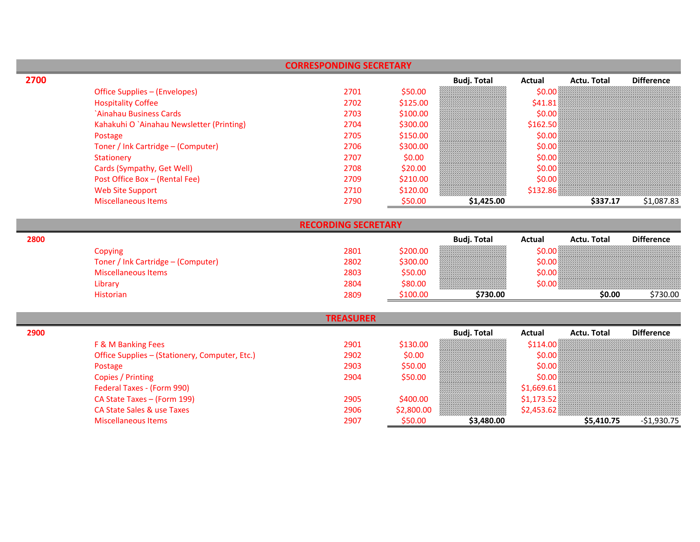|      |                                                | <b>CORRESPONDING SECRETARY</b> |            |                    |              |                    |                   |
|------|------------------------------------------------|--------------------------------|------------|--------------------|--------------|--------------------|-------------------|
| 2700 |                                                |                                |            | <b>Budj. Total</b> | Actual       | <b>Actu. Total</b> | <b>Difference</b> |
|      | Office Supplies - (Envelopes)                  | 2701                           | \$50.00    |                    | \$0.00       |                    |                   |
|      | <b>Hospitality Coffee</b>                      | 2702                           | \$125.00   |                    | \$41.81      |                    |                   |
|      | `Ainahau Business Cards                        | 2703                           | \$100.00   |                    | \$0.00       |                    |                   |
|      | Kahakuhi O `Ainahau Newsletter (Printing)      | 2704                           | \$300.00   |                    | \$162.50     |                    |                   |
|      | Postage                                        | 2705                           | \$150.00   |                    | \$0.00       |                    |                   |
|      | Toner / Ink Cartridge - (Computer)             | 2706                           | \$300.00   |                    | \$0.00       |                    |                   |
|      | <b>Stationery</b>                              | 2707                           | \$0.00     |                    | \$0.00       |                    |                   |
|      | Cards (Sympathy, Get Well)                     | 2708                           | \$20.00    |                    | \$0.00       |                    |                   |
|      | Post Office Box - (Rental Fee)                 | 2709                           | \$210.00   |                    | \$0.00       |                    |                   |
|      | <b>Web Site Support</b>                        | 2710                           | \$120.00   |                    | \$132.86     |                    |                   |
|      | <b>Miscellaneous Items</b>                     | 2790                           | \$50.00    | \$1,425.00         |              | \$337.17           | \$1,087.83        |
|      |                                                | <b>RECORDING SECRETARY</b>     |            |                    |              |                    |                   |
| 2800 |                                                |                                |            | <b>Budj. Total</b> | Actual       | <b>Actu. Total</b> | <b>Difference</b> |
|      | Copying                                        | 2801                           | \$200.00   |                    | \$0.00       |                    |                   |
|      | Toner / Ink Cartridge - (Computer)             | 2802                           | \$300.00   |                    | \$0.00       |                    |                   |
|      | <b>Miscellaneous Items</b>                     | 2803                           | \$50.00    |                    | \$0.00       |                    |                   |
|      | Library                                        | 2804                           | \$80.00    |                    | \$0.00       |                    |                   |
|      | <b>Historian</b>                               | 2809                           | \$100.00   | \$730.00           |              | \$0.00             | \$730.00          |
|      |                                                |                                |            |                    |              |                    |                   |
|      |                                                | <b>TREASURER</b>               |            |                    |              |                    |                   |
| 2900 |                                                |                                |            | <b>Budj. Total</b> | Actual       | <b>Actu. Total</b> | <b>Difference</b> |
|      | F & M Banking Fees                             | 2901                           | \$130.00   |                    | \$114.00\$   |                    |                   |
|      | Office Supplies - (Stationery, Computer, Etc.) | 2902                           | \$0.00     |                    | \$0.00       |                    |                   |
|      | Postage                                        | 2903                           | \$50.00    |                    | \$0.00       |                    |                   |
|      | Copies / Printing                              | 2904                           | \$50.00    |                    | \$0.00       |                    |                   |
|      | Federal Taxes - (Form 990)                     |                                |            |                    | \$1,669.61   |                    |                   |
|      | CA State Taxes - (Form 199)                    | 2905                           | \$400.00   |                    | \$1,173.52\$ |                    |                   |
|      | <b>CA State Sales &amp; use Taxes</b>          | 2906                           | \$2,800.00 |                    | \$2,453.62\$ |                    |                   |
|      | <b>Miscellaneous Items</b>                     | 2907                           | \$50.00    | \$3,480.00         |              | \$5,410.75         | $-$1,930.75$      |

 $\overline{\phantom{a}}$